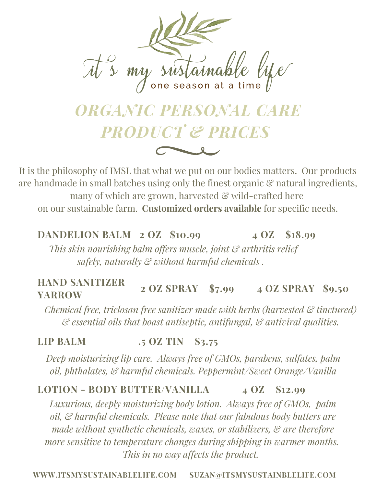

# *ORGANIC PERSONAL CARE PRODUCT & PRICES*

It is the philosophy of IMSL that what we put on our bodies matters. Our products are handmade in small batches using only the finest organic  $\mathcal{C}$  natural ingredients, many of which are grown, harvested  $\mathcal{E}$  wild-crafted here on our sustainable farm. **Customized orders available** for specific needs.

## **DANDELION BALM 2 OZ \$10.99 4 OZ \$18.99**

*This skin nourishing balm offers muscle, joint & arthritis relief safely, naturally & without harmful chemicals .*

### **HAND SANITIZER YARROW 2 OZ SPRAY \$7.99 4 OZ SPRAY \$9.50**

*Chemical free, triclosan free sanitizer made with herbs (harvested & tinctured) & essential oils that boast antiseptic, antifungal, & antiviral qualities.*

#### **LIP BALM .5 OZ TIN \$3.75**

*Deep moisturizing lip care. Always free of GMOs, parabens, sulfates, palm oil, phthalates, & harmful chemicals. Peppermint/Sweet Orange/Vanilla*

#### **LOTION - BODY BUTTER/VANILLA 4 OZ \$12.99**

*Luxurious, deeply moisturizing body lotion. Always free of GMOs, palm oil, & harmful chemicals. Please note that our fabulous body butters are made without synthetic chemicals, waxes, or stabilizers, & are therefore more sensitive to temperature changes during shipping in warmer months. This in no way affects the product.*

**WWW.ITSMYSUSTAINABLELIFE.COM SUZAN@ITSMYSUSTAINBLELIFE.COM**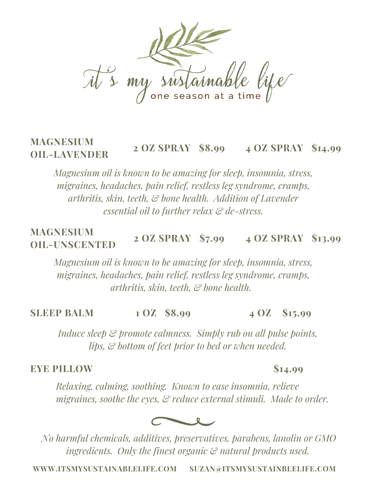

### **MAGNESIUM OIL-LAVENDER 2 OZ SPRAY \$8.99 4 OZ SPRAY \$14.99**

*Magnesium oil is known to be amazing for sleep, insomnia, stress, migraines, headaches, pain relief, restless leg syndrome, cramps, arthritis, skin, teeth, & bone health. Addition of Lavender essential oil to further relax & de-stress.*

### **MAGNESIUM OIL-UNSCENTED 2 OZ SPRAY \$7.99 4 OZ SPRAY \$13.99**

*Magnesium oil is known to be amazing for sleep, insomnia, stress, migraines, headaches, pain relief, restless leg syndrome, cramps, arthritis, skin, teeth, & bone health.*

**SLEEP BALM 1 OZ \$8.99 4 OZ \$15.99**

*Induce sleep & promote calmness. Simply rub on all pulse points, lips, & bottom of feet prior to bed or when needed.*

### **EYE PILLOW \$14.99**

*Relaxing, calming, soothing. Known to ease insomnia, relieve migraines, soothe the eyes, & reduce external stimuli. Made to order.*



*No harmful chemicals, additives, preservatives, parabens, lanolin or GMO ingredients. Only the finest organic & natural products used.*

**WWW.ITSMYSUSTAINABLELIFE.COM SUZAN@ITSMYSUSTAINBLELIFE.COM**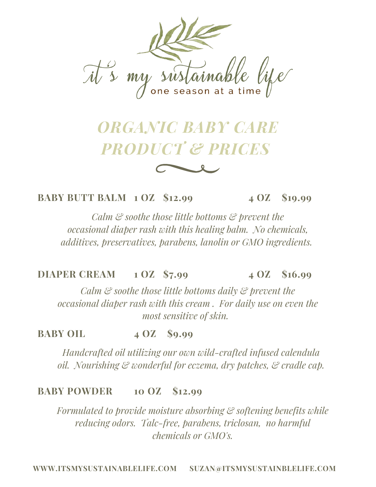

# *ORGANIC BABY CARE PRODUCT & PRICES*

**BABY BUTT BALM 1 OZ \$12.99 4 OZ \$19.99**

*Calm & soothe those little bottoms & prevent the occasional diaper rash with this healing balm. No chemicals, additives, preservatives, parabens, lanolin or GMO ingredients.*

**DIAPER CREAM 1 OZ \$7.99 4 OZ \$16.99**

*Calm & soothe those little bottoms daily & prevent the occasional diaper rash with this cream . For daily use on even the most sensitive of skin.*

**BABY OIL 4 OZ \$9.99**

*Handcrafted oil utilizing our own wild-crafted infused calendula oil. Nourishing & wonderful for eczema, dry patches, & cradle cap.*

### **BABY POWDER 10 OZ \$12.99**

*Formulated to provide moisture absorbing & softening benefits while reducing odors. Talc-free, parabens, triclosan, no harmful chemicals or GMO's.*

**WWW.ITSMYSUSTAINABLELIFE.COM SUZAN@ITSMYSUSTAINBLELIFE.COM**